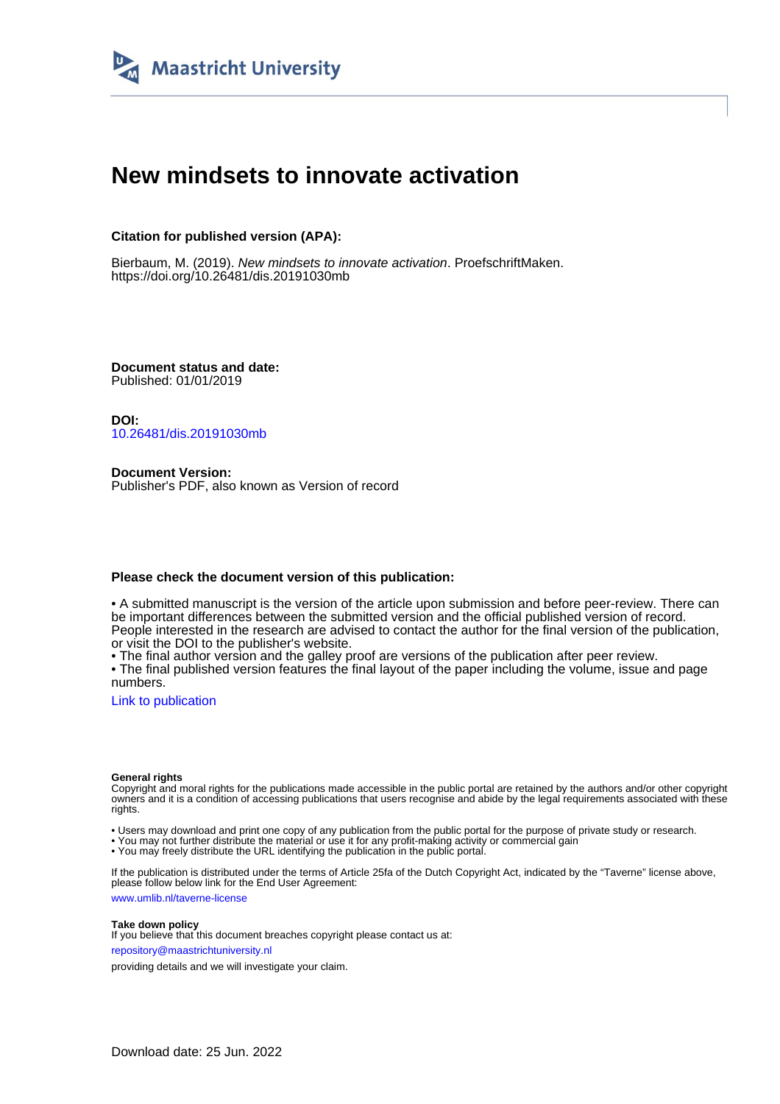

# **New mindsets to innovate activation**

### **Citation for published version (APA):**

Bierbaum, M. (2019). New mindsets to innovate activation. ProefschriftMaken. <https://doi.org/10.26481/dis.20191030mb>

**Document status and date:** Published: 01/01/2019

**DOI:** [10.26481/dis.20191030mb](https://doi.org/10.26481/dis.20191030mb)

**Document Version:** Publisher's PDF, also known as Version of record

### **Please check the document version of this publication:**

• A submitted manuscript is the version of the article upon submission and before peer-review. There can be important differences between the submitted version and the official published version of record. People interested in the research are advised to contact the author for the final version of the publication, or visit the DOI to the publisher's website.

• The final author version and the galley proof are versions of the publication after peer review.

• The final published version features the final layout of the paper including the volume, issue and page numbers.

[Link to publication](https://cris.maastrichtuniversity.nl/en/publications/a1dce437-f573-4c81-ba8a-46dcfd7cc9ab)

#### **General rights**

Copyright and moral rights for the publications made accessible in the public portal are retained by the authors and/or other copyright owners and it is a condition of accessing publications that users recognise and abide by the legal requirements associated with these rights.

• Users may download and print one copy of any publication from the public portal for the purpose of private study or research.

• You may not further distribute the material or use it for any profit-making activity or commercial gain

• You may freely distribute the URL identifying the publication in the public portal.

If the publication is distributed under the terms of Article 25fa of the Dutch Copyright Act, indicated by the "Taverne" license above, please follow below link for the End User Agreement:

www.umlib.nl/taverne-license

#### **Take down policy**

If you believe that this document breaches copyright please contact us at: repository@maastrichtuniversity.nl

providing details and we will investigate your claim.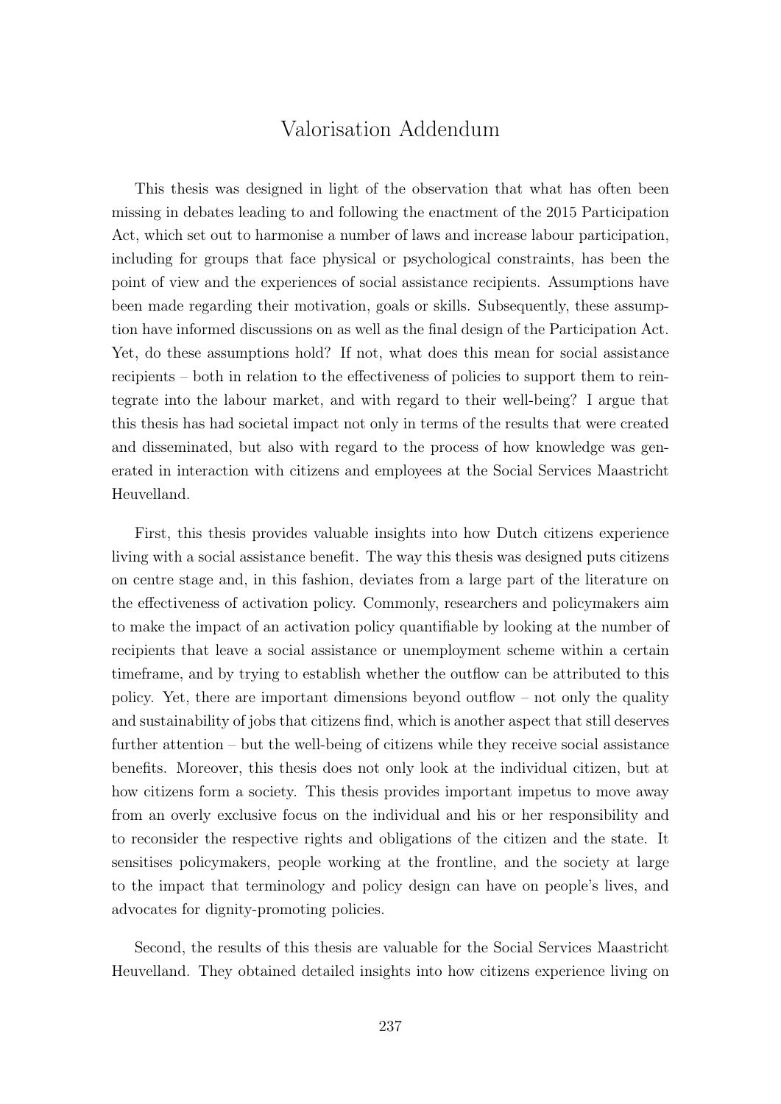## Valorisation Addendum

This thesis was designed in light of the observation that what has often been missing in debates leading to and following the enactment of the 2015 Participation Act, which set out to harmonise a number of laws and increase labour participation, including for groups that face physical or psychological constraints, has been the point of view and the experiences of social assistance recipients. Assumptions have been made regarding their motivation, goals or skills. Subsequently, these assumption have informed discussions on as well as the final design of the Participation Act. Yet, do these assumptions hold? If not, what does this mean for social assistance recipients – both in relation to the effectiveness of policies to support them to reintegrate into the labour market, and with regard to their well-being? I argue that this thesis has had societal impact not only in terms of the results that were created and disseminated, but also with regard to the process of how knowledge was generated in interaction with citizens and employees at the Social Services Maastricht Heuvelland.

First, this thesis provides valuable insights into how Dutch citizens experience living with a social assistance benefit. The way this thesis was designed puts citizens on centre stage and, in this fashion, deviates from a large part of the literature on the effectiveness of activation policy. Commonly, researchers and policymakers aim to make the impact of an activation policy quantifiable by looking at the number of recipients that leave a social assistance or unemployment scheme within a certain timeframe, and by trying to establish whether the outflow can be attributed to this policy. Yet, there are important dimensions beyond outflow – not only the quality and sustainability of jobs that citizens find, which is another aspect that still deserves further attention – but the well-being of citizens while they receive social assistance benefits. Moreover, this thesis does not only look at the individual citizen, but at how citizens form a society. This thesis provides important impetus to move away from an overly exclusive focus on the individual and his or her responsibility and to reconsider the respective rights and obligations of the citizen and the state. It sensitises policymakers, people working at the frontline, and the society at large to the impact that terminology and policy design can have on people's lives, and advocates for dignity-promoting policies.

Second, the results of this thesis are valuable for the Social Services Maastricht Heuvelland. They obtained detailed insights into how citizens experience living on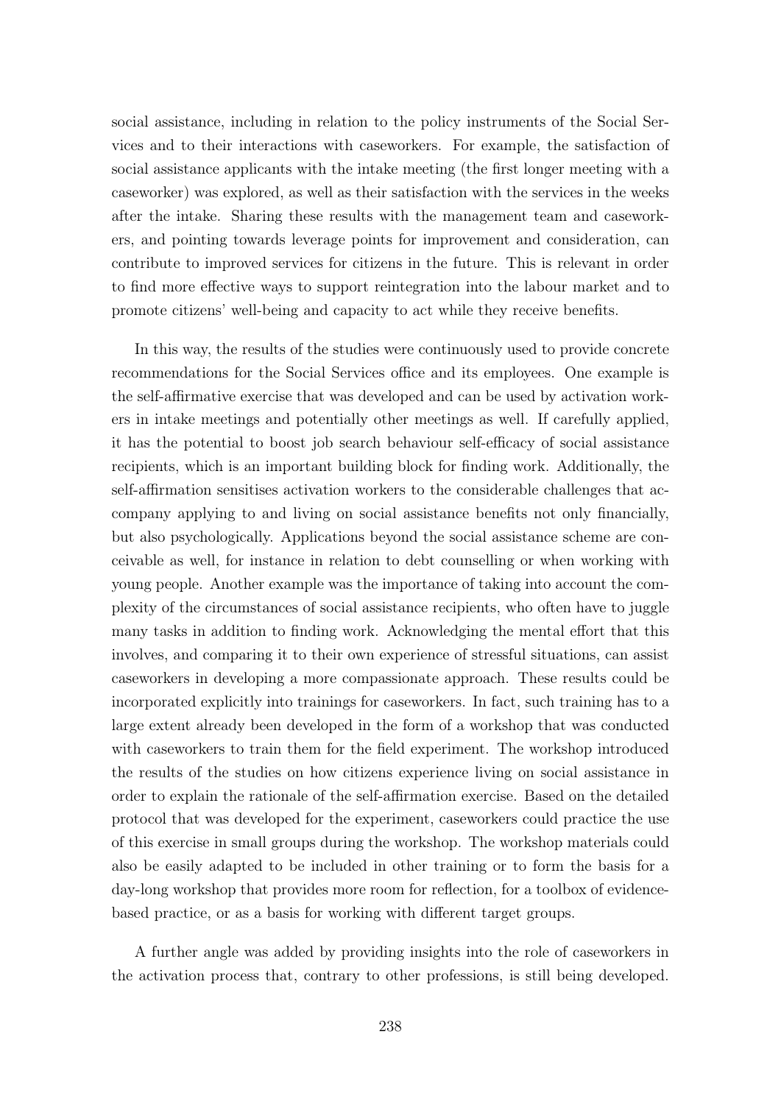social assistance, including in relation to the policy instruments of the Social Services and to their interactions with caseworkers. For example, the satisfaction of social assistance applicants with the intake meeting (the first longer meeting with a caseworker) was explored, as well as their satisfaction with the services in the weeks after the intake. Sharing these results with the management team and caseworkers, and pointing towards leverage points for improvement and consideration, can contribute to improved services for citizens in the future. This is relevant in order to find more effective ways to support reintegration into the labour market and to promote citizens' well-being and capacity to act while they receive benefits.

In this way, the results of the studies were continuously used to provide concrete recommendations for the Social Services office and its employees. One example is the self-affirmative exercise that was developed and can be used by activation workers in intake meetings and potentially other meetings as well. If carefully applied, it has the potential to boost job search behaviour self-efficacy of social assistance recipients, which is an important building block for finding work. Additionally, the self-affirmation sensitises activation workers to the considerable challenges that accompany applying to and living on social assistance benefits not only financially, but also psychologically. Applications beyond the social assistance scheme are conceivable as well, for instance in relation to debt counselling or when working with young people. Another example was the importance of taking into account the complexity of the circumstances of social assistance recipients, who often have to juggle many tasks in addition to finding work. Acknowledging the mental effort that this involves, and comparing it to their own experience of stressful situations, can assist caseworkers in developing a more compassionate approach. These results could be incorporated explicitly into trainings for caseworkers. In fact, such training has to a large extent already been developed in the form of a workshop that was conducted with caseworkers to train them for the field experiment. The workshop introduced the results of the studies on how citizens experience living on social assistance in order to explain the rationale of the self-affirmation exercise. Based on the detailed protocol that was developed for the experiment, caseworkers could practice the use of this exercise in small groups during the workshop. The workshop materials could also be easily adapted to be included in other training or to form the basis for a day-long workshop that provides more room for reflection, for a toolbox of evidencebased practice, or as a basis for working with different target groups.

A further angle was added by providing insights into the role of caseworkers in the activation process that, contrary to other professions, is still being developed.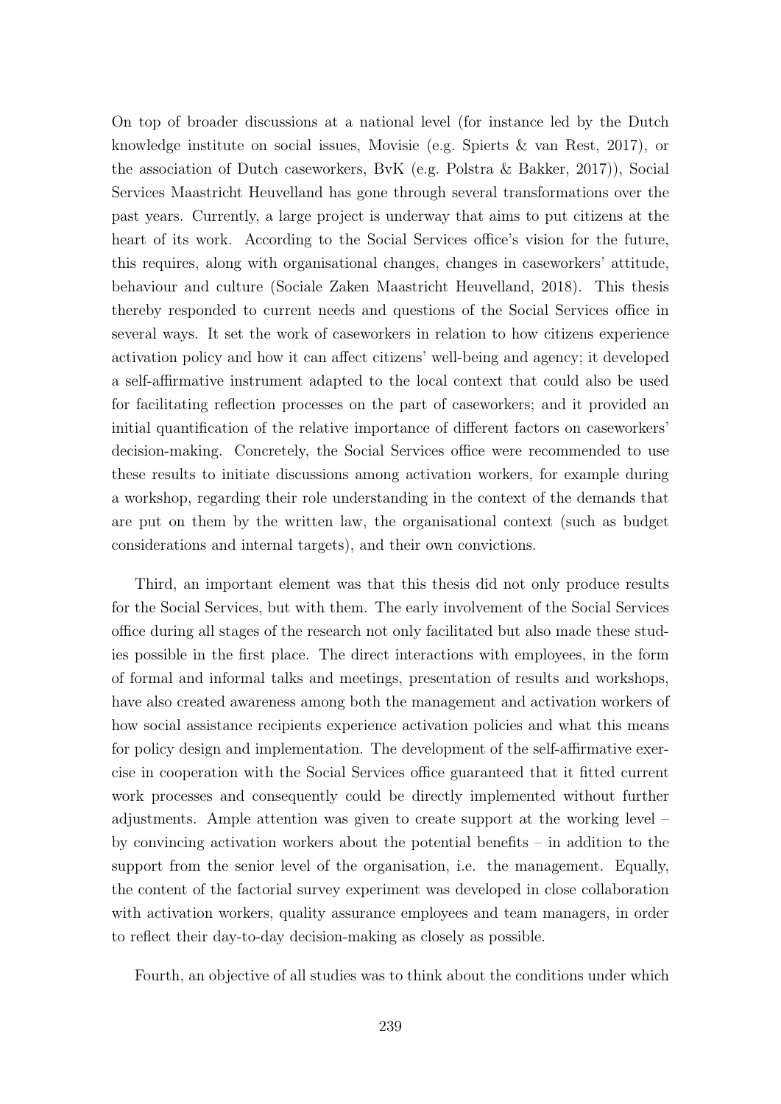On top of broader discussions at a national level (for instance led by the Dutch knowledge institute on social issues, Movisie (e.g. Spierts & van Rest, 2017), or the association of Dutch caseworkers, BvK (e.g. Polstra & Bakker, 2017)), Social Services Maastricht Heuvelland has gone through several transformations over the past years. Currently, a large project is underway that aims to put citizens at the heart of its work. According to the Social Services office's vision for the future, this requires, along with organisational changes, changes in caseworkers' attitude, behaviour and culture (Sociale Zaken Maastricht Heuvelland, 2018). This thesis thereby responded to current needs and questions of the Social Services office in several ways. It set the work of caseworkers in relation to how citizens experience activation policy and how it can affect citizens' well-being and agency; it developed a self-affirmative instrument adapted to the local context that could also be used for facilitating reflection processes on the part of caseworkers; and it provided an initial quantification of the relative importance of different factors on caseworkers' decision-making. Concretely, the Social Services office were recommended to use these results to initiate discussions among activation workers, for example during a workshop, regarding their role understanding in the context of the demands that are put on them by the written law, the organisational context (such as budget considerations and internal targets), and their own convictions.

Third, an important element was that this thesis did not only produce results for the Social Services, but with them. The early involvement of the Social Services office during all stages of the research not only facilitated but also made these studies possible in the first place. The direct interactions with employees, in the form of formal and informal talks and meetings, presentation of results and workshops, have also created awareness among both the management and activation workers of how social assistance recipients experience activation policies and what this means for policy design and implementation. The development of the self-affirmative exercise in cooperation with the Social Services office guaranteed that it fitted current work processes and consequently could be directly implemented without further adjustments. Ample attention was given to create support at the working level – by convincing activation workers about the potential benefits – in addition to the support from the senior level of the organisation, i.e. the management. Equally, the content of the factorial survey experiment was developed in close collaboration with activation workers, quality assurance employees and team managers, in order to reflect their day-to-day decision-making as closely as possible.

Fourth, an objective of all studies was to think about the conditions under which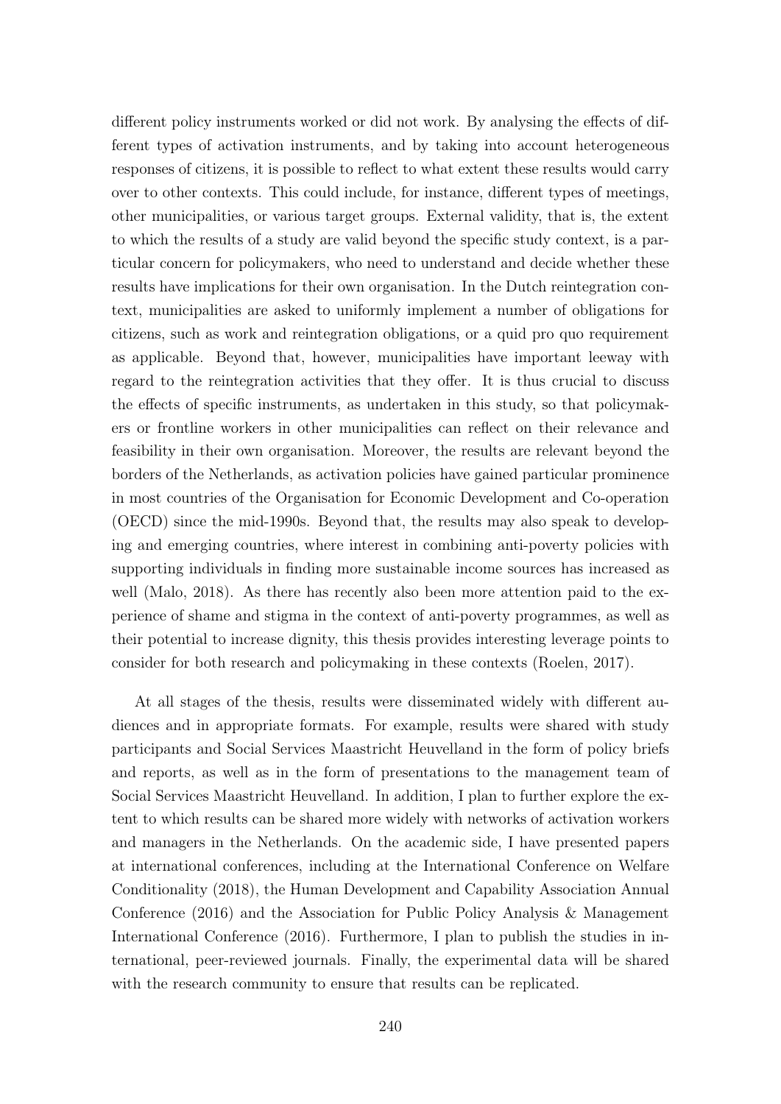different policy instruments worked or did not work. By analysing the effects of different types of activation instruments, and by taking into account heterogeneous responses of citizens, it is possible to reflect to what extent these results would carry over to other contexts. This could include, for instance, different types of meetings, other municipalities, or various target groups. External validity, that is, the extent to which the results of a study are valid beyond the specific study context, is a particular concern for policymakers, who need to understand and decide whether these results have implications for their own organisation. In the Dutch reintegration context, municipalities are asked to uniformly implement a number of obligations for citizens, such as work and reintegration obligations, or a quid pro quo requirement as applicable. Beyond that, however, municipalities have important leeway with regard to the reintegration activities that they offer. It is thus crucial to discuss the effects of specific instruments, as undertaken in this study, so that policymakers or frontline workers in other municipalities can reflect on their relevance and feasibility in their own organisation. Moreover, the results are relevant beyond the borders of the Netherlands, as activation policies have gained particular prominence in most countries of the Organisation for Economic Development and Co-operation (OECD) since the mid-1990s. Beyond that, the results may also speak to developing and emerging countries, where interest in combining anti-poverty policies with supporting individuals in finding more sustainable income sources has increased as well (Malo, 2018). As there has recently also been more attention paid to the experience of shame and stigma in the context of anti-poverty programmes, as well as their potential to increase dignity, this thesis provides interesting leverage points to consider for both research and policymaking in these contexts (Roelen, 2017).

At all stages of the thesis, results were disseminated widely with different audiences and in appropriate formats. For example, results were shared with study participants and Social Services Maastricht Heuvelland in the form of policy briefs and reports, as well as in the form of presentations to the management team of Social Services Maastricht Heuvelland. In addition, I plan to further explore the extent to which results can be shared more widely with networks of activation workers and managers in the Netherlands. On the academic side, I have presented papers at international conferences, including at the International Conference on Welfare Conditionality (2018), the Human Development and Capability Association Annual Conference (2016) and the Association for Public Policy Analysis & Management International Conference (2016). Furthermore, I plan to publish the studies in international, peer-reviewed journals. Finally, the experimental data will be shared with the research community to ensure that results can be replicated.